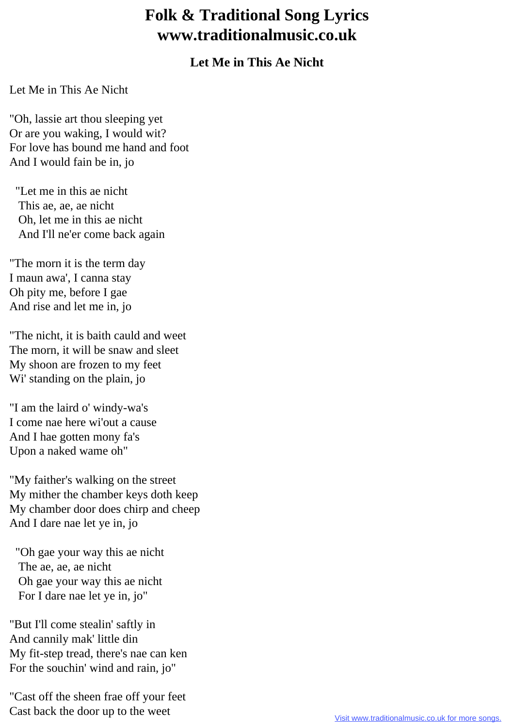## **Folk & Traditional Song Lyrics www.traditionalmusic.co.uk**

## **Let Me in This Ae Nicht**

Let Me in This Ae Nicht

"Oh, lassie art thou sleeping yet Or are you waking, I would wit? For love has bound me hand and foot And I would fain be in, jo

 "Let me in this ae nicht This ae, ae, ae nicht Oh, let me in this ae nicht And I'll ne'er come back again

"The morn it is the term day I maun awa', I canna stay Oh pity me, before I gae And rise and let me in, jo

"The nicht, it is baith cauld and weet The morn, it will be snaw and sleet My shoon are frozen to my feet Wi' standing on the plain, jo

"I am the laird o' windy-wa's I come nae here wi'out a cause And I hae gotten mony fa's Upon a naked wame oh"

"My faither's walking on the street My mither the chamber keys doth keep My chamber door does chirp and cheep And I dare nae let ye in, jo

 "Oh gae your way this ae nicht The ae, ae, ae nicht Oh gae your way this ae nicht For I dare nae let ye in, jo"

"But I'll come stealin' saftly in And cannily mak' little din My fit-step tread, there's nae can ken For the souchin' wind and rain, jo"

"Cast off the sheen frae off your feet Cast back the door up to the weet